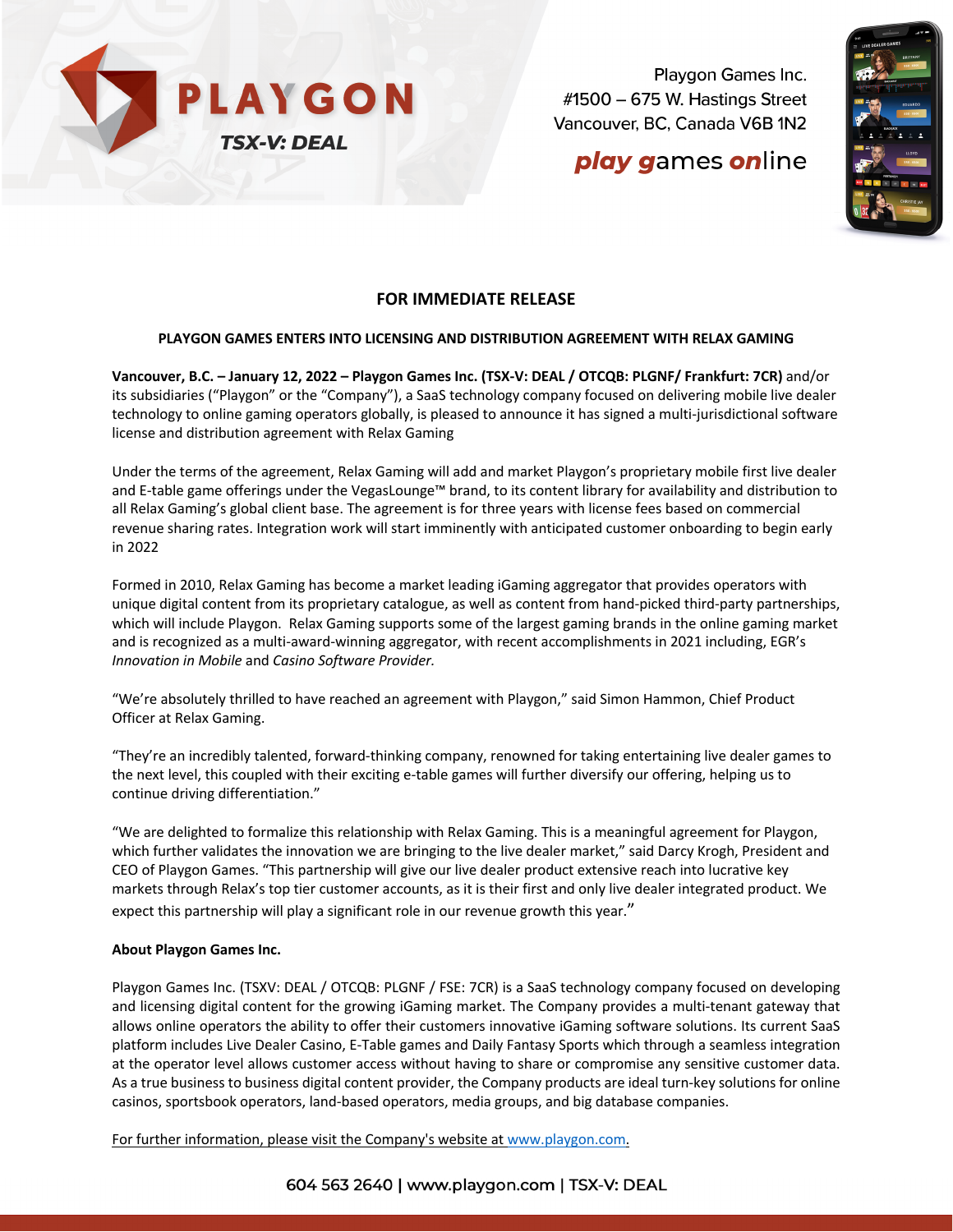

Playgon Games Inc. #1500 - 675 W. Hastings Street Vancouver, BC, Canada V6B 1N2

# **play games online**



### **FOR IMMEDIATE RELEASE**

#### **PLAYGON GAMES ENTERS INTO LICENSING AND DISTRIBUTION AGREEMENT WITH RELAX GAMING**

**Vancouver, B.C. – January 12, 2022 – Playgon Games Inc. (TSX-V: DEAL / OTCQB: PLGNF/ Frankfurt: 7CR)** and/or its subsidiaries ("Playgon" or the "Company"), a SaaS technology company focused on delivering mobile live dealer technology to online gaming operators globally, is pleased to announce it has signed a multi-jurisdictional software license and distribution agreement with Relax Gaming

Under the terms of the agreement, Relax Gaming will add and market Playgon's proprietary mobile first live dealer and E-table game offerings under the VegasLounge™ brand, to its content library for availability and distribution to all Relax Gaming's global client base. The agreement is for three years with license fees based on commercial revenue sharing rates. Integration work will start imminently with anticipated customer onboarding to begin early in 2022

Formed in 2010, Relax Gaming has become a market leading iGaming aggregator that provides operators with unique digital content from its proprietary catalogue, as well as content from hand-picked third-party partnerships, which will include Playgon. Relax Gaming supports some of the largest gaming brands in the online gaming market and is recognized as a multi-award-winning aggregator, with recent accomplishments in 2021 including, EGR's *Innovation in Mobile* and *Casino Software Provider.*

"We're absolutely thrilled to have reached an agreement with Playgon," said Simon Hammon, Chief Product Officer at Relax Gaming.

"They're an incredibly talented, forward-thinking company, renowned for taking entertaining live dealer games to the next level, this coupled with their exciting e-table games will further diversify our offering, helping us to continue driving differentiation."

"We are delighted to formalize this relationship with Relax Gaming. This is a meaningful agreement for Playgon, which further validates the innovation we are bringing to the live dealer market," said Darcy Krogh, President and CEO of Playgon Games. "This partnership will give our live dealer product extensive reach into lucrative key markets through Relax's top tier customer accounts, as it is their first and only live dealer integrated product. We expect this partnership will play a significant role in our revenue growth this year."

#### **About Playgon Games Inc.**

Playgon Games Inc. (TSXV: DEAL / OTCQB: PLGNF / FSE: 7CR) is a SaaS technology company focused on developing and licensing digital content for the growing iGaming market. The Company provides a multi-tenant gateway that allows online operators the ability to offer their customers innovative iGaming software solutions. Its current SaaS platform includes Live Dealer Casino, E-Table games and Daily Fantasy Sports which through a seamless integration at the operator level allows customer access without having to share or compromise any sensitive customer data. As a true business to business digital content provider, the Company products are ideal turn-key solutions for online casinos, sportsbook operators, land-based operators, media groups, and big database companies.

For further information, please visit the Company's website at www.playgon.com.

604 563 2640 | www.playgon.com | TSX-V: DEAL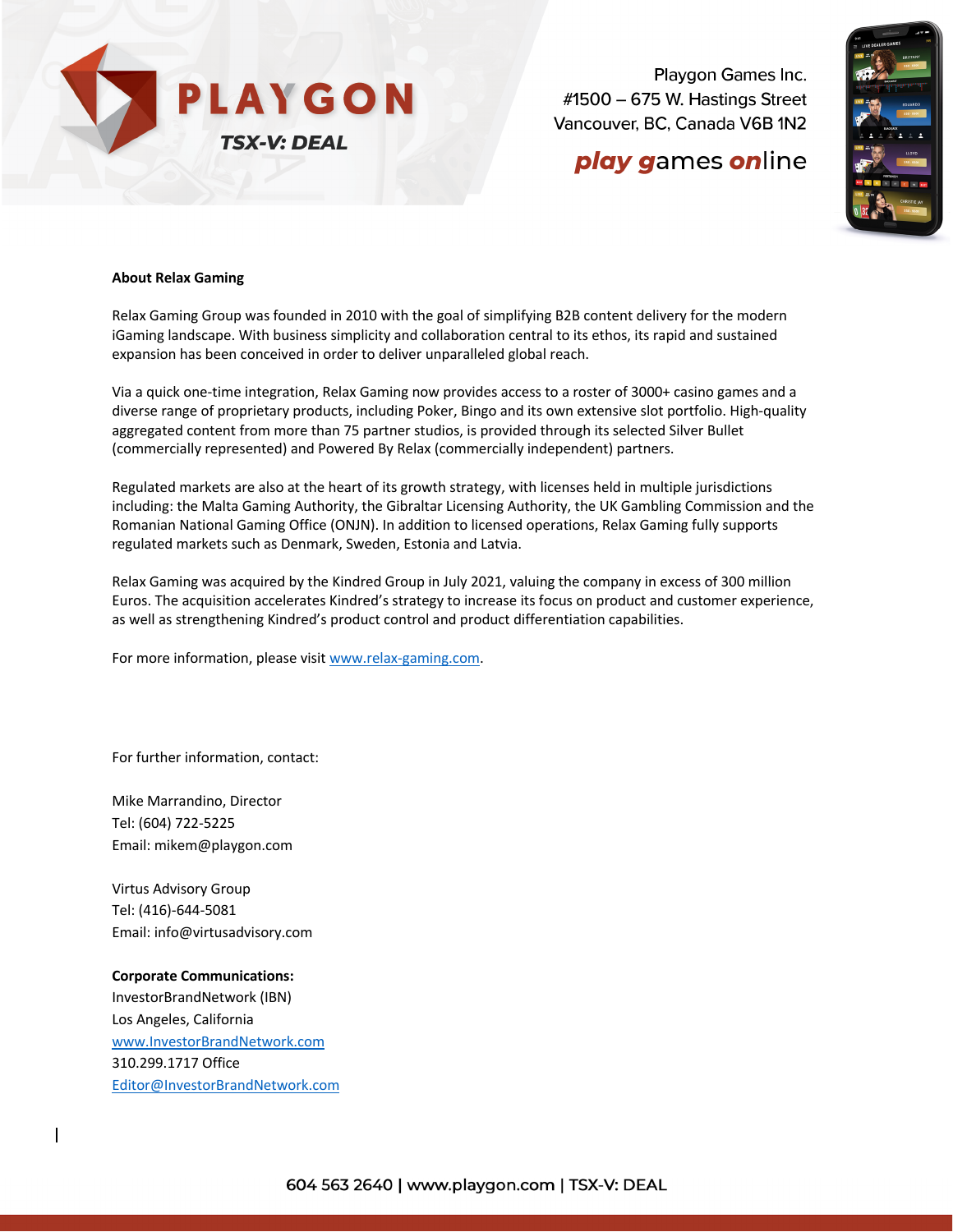

Playgon Games Inc. #1500 - 675 W. Hastings Street Vancouver, BC, Canada V6B 1N2

## **play games online**



#### **About Relax Gaming**

Relax Gaming Group was founded in 2010 with the goal of simplifying B2B content delivery for the modern iGaming landscape. With business simplicity and collaboration central to its ethos, its rapid and sustained expansion has been conceived in order to deliver unparalleled global reach.

Via a quick one-time integration, Relax Gaming now provides access to a roster of 3000+ casino games and a diverse range of proprietary products, including Poker, Bingo and its own extensive slot portfolio. High-quality aggregated content from more than 75 partner studios, is provided through its selected Silver Bullet (commercially represented) and Powered By Relax (commercially independent) partners.

Regulated markets are also at the heart of its growth strategy, with licenses held in multiple jurisdictions including: the Malta Gaming Authority, the Gibraltar Licensing Authority, the UK Gambling Commission and the Romanian National Gaming Office (ONJN). In addition to licensed operations, Relax Gaming fully supports regulated markets such as Denmark, Sweden, Estonia and Latvia.

Relax Gaming was acquired by the Kindred Group in July 2021, valuing the company in excess of 300 million Euros. The acquisition accelerates Kindred's strategy to increase its focus on product and customer experience, as well as strengthening Kindred's product control and product differentiation capabilities.

For more information, please visit www.relax-gaming.com.

For further information, contact:

Mike Marrandino, Director Tel: (604) 722-5225 Email: mikem@playgon.com

Virtus Advisory Group Tel: (416)-644-5081 Email: info@virtusadvisory.com

**Corporate Communications:** InvestorBrandNetwork (IBN) Los Angeles, California www.InvestorBrandNetwork.com 310.299.1717 Office Editor@InvestorBrandNetwork.com